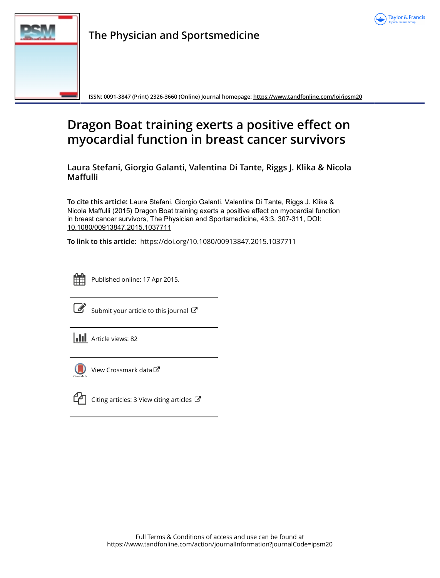



**The Physician and Sportsmedicine**

**ISSN: 0091-3847 (Print) 2326-3660 (Online) Journal homepage:<https://www.tandfonline.com/loi/ipsm20>**

# **Dragon Boat training exerts a positive effect on myocardial function in breast cancer survivors**

**Laura Stefani, Giorgio Galanti, Valentina Di Tante, Riggs J. Klika & Nicola Maffulli**

**To cite this article:** Laura Stefani, Giorgio Galanti, Valentina Di Tante, Riggs J. Klika & Nicola Maffulli (2015) Dragon Boat training exerts a positive effect on myocardial function in breast cancer survivors, The Physician and Sportsmedicine, 43:3, 307-311, DOI: [10.1080/00913847.2015.1037711](https://www.tandfonline.com/action/showCitFormats?doi=10.1080/00913847.2015.1037711)

**To link to this article:** <https://doi.org/10.1080/00913847.2015.1037711>



Published online: 17 Apr 2015.



 $\overline{\mathscr{L}}$  [Submit your article to this journal](https://www.tandfonline.com/action/authorSubmission?journalCode=ipsm20&show=instructions)  $\mathbb{Z}$ 

**III** Article views: 82



 $\bigcirc$  [View Crossmark data](http://crossmark.crossref.org/dialog/?doi=10.1080/00913847.2015.1037711&domain=pdf&date_stamp=2015-04-17)  $\mathbb{Z}$ 



 $\mathbb{C}$  [Citing articles: 3 View citing articles](https://www.tandfonline.com/doi/citedby/10.1080/00913847.2015.1037711#tabModule)  $\mathbb{C}$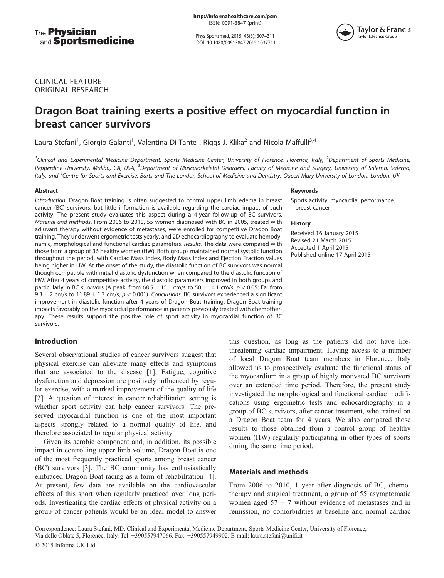Phys Sportsmed, 2015; 43(3): 307–311 DOI: 10.1080/00913847.2015.1037711



CLINICAL FEATURE ORIGINAL RESEARCH

# Dragon Boat training exerts a positive effect on myocardial function in breast cancer survivors

Laura Stefani<sup>1</sup>, Giorgio Galanti<sup>1</sup>, Valentina Di Tante<sup>1</sup>, Riggs J. Klika<sup>2</sup> and Nicola Maffulli<sup>3,4</sup>

<sup>1</sup>Clinical and Experimental Medicine Department, Sports Medicine Center, University of Florence, Florence, Italy, <sup>2</sup>Department of Sports Medicine, Pepperdine University, Malibu, CA, USA, <sup>3</sup>Department of Musculoskeletal Disorders, Faculty of Medicine and Surgery, University of Salerno, Salerno, Italy, and <sup>4</sup>Centre for Sports and Exercise, Barts and The London School of Medicine and Dentistry, Queen Mary University of London, London, UK

#### Abstract

Introduction. Dragon Boat training is often suggested to control upper limb edema in breast cancer (BC) survivors, but little information is available regarding the cardiac impact of such activity. The present study evaluates this aspect during a 4-year follow-up of BC survivors. Material and methods. From 2006 to 2010, 55 women diagnosed with BC in 2005, treated with adjuvant therapy without evidence of metastases, were enrolled for competitive Dragon Boat training. They underwent ergometric tests yearly, and 2D echocardiography to evaluate hemodynamic, morphological and functional cardiac parameters. Results. The data were compared with those from a group of 36 healthy women (HW). Both groups maintained normal systolic function throughout the period, with Cardiac Mass index, Body Mass Index and Ejection Fraction values being higher in HW. At the onset of the study, the diastolic function of BC survivors was normal though compatible with initial diastolic dysfunction when compared to the diastolic function of HW. After 4 years of competitive activity, the diastolic parameters improved in both groups and particularly in BC survivors (A peak: from  $68.5 \pm 15.1$  cm/s to  $50 \pm 14.1$  cm/s,  $p < 0.05$ ; Ea: from 9.3  $\pm$  2 cm/s to 11.89  $\pm$  1.7 cm/s, p < 0.001). Conclusions. BC survivors experienced a significant improvement in diastolic function after 4 years of Dragon Boat training. Dragon Boat training impacts favorably on the myocardial performance in patients previously treated with chemotherapy. These results support the positive role of sport activity in myocardial function of BC survivors.

### Introduction

Several observational studies of cancer survivors suggest that physical exercise can alleviate many effects and symptoms that are associated to the disease [[1\]](#page-4-0). Fatigue, cognitive dysfunction and depression are positively influenced by regular exercise, with a marked improvement of the quality of life [\[2](#page-4-0)]. A question of interest in cancer rehabilitation setting is whether sport activity can help cancer survivors. The preserved myocardial function is one of the most important aspects strongly related to a normal quality of life, and therefore associated to regular physical activity.

Given its aerobic component and, in addition, its possible impact in controlling upper limb volume, Dragon Boat is one of the most frequently practiced sports among breast cancer (BC) survivors [\[3](#page-4-0)]. The BC community has enthusiastically embraced Dragon Boat racing as a form of rehabilitation [\[4](#page-4-0)]. At present, few data are available on the cardiovascular effects of this sport when regularly practiced over long periods. Investigating the cardiac effects of physical activity on a group of cancer patients would be an ideal model to answer

#### Keywords

Sports activity, myocardial performance, breast cancer

#### **History**

Received 16 January 2015 Revised 21 March 2015 Accepted 1 April 2015 Published online 17 April 2015

this question, as long as the patients did not have lifethreatening cardiac impairment. Having access to a number of local Dragon Boat team members in Florence, Italy allowed us to prospectively evaluate the functional status of the myocardium in a group of highly motivated BC survivors over an extended time period. Therefore, the present study investigated the morphological and functional cardiac modifications using ergometric tests and echocardiography in a group of BC survivors, after cancer treatment, who trained on a Dragon Boat team for 4 years. We also compared those results to those obtained from a control group of healthy women (HW) regularly participating in other types of sports during the same time period.

#### Materials and methods

From 2006 to 2010, 1 year after diagnosis of BC, chemotherapy and surgical treatment, a group of 55 asymptomatic women aged  $57 \pm 7$  without evidence of metastases and in remission, no comorbidities at baseline and normal cardiac

Correspondence: Laura Stefani, MD, Clinical and Experimental Medicine Department, Sports Medicine Center, University of Florence, Via delle Oblate 5, Florence, Italy. Tel: +390557947066. Fax: +390557949902. E-mail: [laura.stefani@unifi.it](mailto:laura.stefani@unifi.it) © 2015 Informa UK Ltd.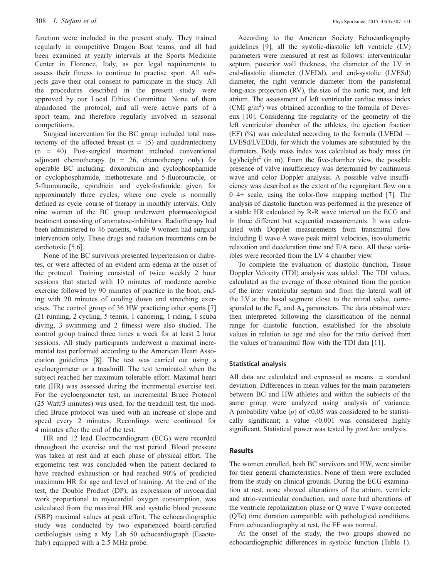function were included in the present study. They trained regularly in competitive Dragon Boat teams, and all had been examined at yearly intervals at the Sports Medicine Center in Florence, Italy, as per legal requirements to assess their fitness to continue to practise sport. All subjects gave their oral consent to participate in the study. All the procedures described in the present study were approved by our Local Ethics Committee. None of them abandoned the protocol, and all were active parts of a sport team, and therefore regularly involved in seasonal competitions.

Surgical intervention for the BC group included total mastectomy of the affected breast  $(n = 15)$  and quadrantectomy (n = 40). Post-surgical treatment included conventional adjuvant chemotherapy  $(n = 26,$  chemotherapy only) for operable BC including: doxorubicin and cyclophosphamide or cyclophosphamide, methotrexate and 5-fluorouracile, or 5-fluorouracile, epirubicin and cyclofosfamide given for approximately three cycles, where one cycle is normally defined as cycle–course of therapy in monthly intervals. Only nine women of the BC group underwent pharmacological treatment consisting of aromatase-inhibitors. Radiotherapy had been administered to 46 patients, while 9 women had surgical intervention only. These drugs and radiation treatments can be cardiotoxic [[5,6](#page-5-0)].

None of the BC survivors presented hypertension or diabetes, or were affected of an evident arm edema at the onset of the protocol. Training consisted of twice weekly 2 hour sessions that started with 10 minutes of moderate aerobic exercise followed by 90 minutes of practice in the boat, ending with 20 minutes of cooling down and stretching exercises. The control group of 36 HW practicing other sports [[7\]](#page-5-0) (21 running, 2 cycling, 5 tennis, 1 canoeing, 1 riding, 1 scuba diving, 3 swimming and 2 fitness) were also studied. The control group trained three times a week for at least 2 hour sessions. All study participants underwent a maximal incremental test performed according to the American Heart Association guidelines [\[8](#page-5-0)]. The test was carried out using a cycloergometer or a treadmill. The test terminated when the subject reached her maximum tolerable effort. Maximal heart rate (HR) was assessed during the incremental exercise test. For the cycloergometer test, an incremental Bruce Protocol (25 Watt/3 minutes) was used; for the treadmill test, the modified Bruce protocol was used with an increase of slope and speed every 2 minutes. Recordings were continued for 4 minutes after the end of the test.

HR and 12 lead Electrocardiogram (ECG) were recorded throughout the exercise and the rest period. Blood pressure was taken at rest and at each phase of physical effort. The ergometric test was concluded when the patient declared to have reached exhaustion or had reached 90% of predicted maximum HR for age and level of training. At the end of the test, the Double Product (DP), as expression of myocardial work proportional to myocardial oxygen consumption, was calculated from the maximal HR and systolic blood pressure (SBP) maximal values at peak effort. The echocardiographic study was conducted by two experienced board-certified cardiologists using a My Lab 50 echocardiograph (Esaote-Italy) equipped with a 2.5 MHz probe.

According to the American Society Echocardiography guidelines [\[9](#page-5-0)], all the systolic-diastolic left ventricle (LV) parameters were measured at rest as follows: interventricular septum, posterior wall thickness, the diameter of the LV in end-diastolic diameter (LVEDd), and end-systolic (LVESd) diameter, the right ventricle diameter from the parasternal long-axis projection (RV), the size of the aortic root, and left atrium. The assessment of left ventricular cardiac mass index (CMI  $g/m<sup>2</sup>$ ) was obtained according to the formula of Devereux [[10\]](#page-5-0). Considering the regularity of the geometry of the left ventricular chamber of the athletes, the ejection fraction (EF)  $\frac{1}{2}$  was calculated according to the formula (LVEDd  $-$ LVESd/LVEDd), for which the volumes are substituted by the diameters. Body mass index was calculated as body mass (in  $kg/h$ eight<sup>2</sup> (in m). From the five-chamber view, the possible presence of valve insufficiency was determined by continuous wave and color Doppler analysis. A possible valve insufficiency was described as the extent of the regurgitant flow on a  $0-4$ + scale, using the color-flow mapping method [[7\]](#page-5-0). The analysis of diastolic function was performed in the presence of a stable HR calculated by R-R wave interval on the ECG and in three different but sequential measurements. It was calculated with Doppler measurements from transmitral flow including E wave A wave peak mitral velocities, isovolumetric relaxation and deceleration time and E/A ratio. All these variaibles were recorded from the LV 4 chamber view.

To complete the evaluation of diastolic function, Tissue Doppler Velocity (TDI) analysis was added. The TDI values, calculated as the average of those obtained from the portion of the inter ventricular septum and from the lateral wall of the LV at the basal segment close to the mitral valve, corresponded to the  $E_a$  and  $A_a$  parameters. The data obtained were then interpreted following the classification of the normal range for diastolic function, established for the absolute values in relation to age and also for the ratio derived from the values of transmitral flow with the TDI data [[11](#page-5-0)].

#### Statistical analysis

All data are calculated and expressed as means  $\pm$  standard deviation. Differences in mean values for the main parameters between BC and HW athletes and within the subjects of the same group were analyzed using analysis of variance. A probability value (p) of  $\leq 0.05$  was considered to be statistically significant; a value <0.001 was considered highly significant. Statistical power was tested by *post hoc* analysis.

# **Results**

The women enrolled, both BC survivors and HW, were similar for their general characteristics. None of them were excluded from the study on clinical grounds. During the ECG examination at rest, none showed alterations of the atrium, ventricle and atrio-ventricular conduction, and none had alterations of the ventricle repolarization phase or Q wave T wave corrected (QTc) time duration compatible with pathological conditions. From echocardiography at rest, the EF was normal.

At the onset of the study, the two groups showed no echocardiographic differences in systolic function ([Table 1](#page-3-0)).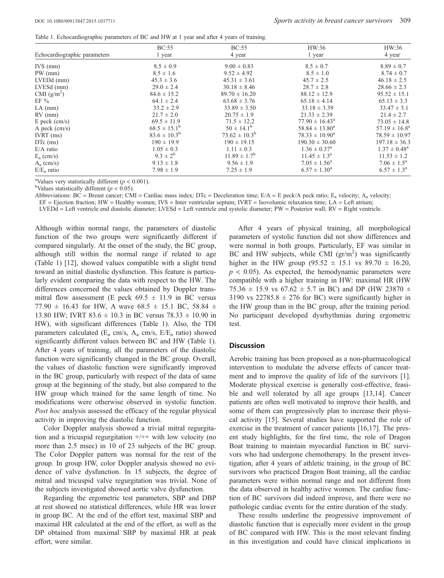<span id="page-3-0"></span>Table 1. Echocardiographic parameters of BC and HW at 1 year and after 4 years of training.

| Echocardiographic parameters | BC:55<br>1 year   | BC:55<br>4 year    | HW:36<br>1 year           | HW:36<br>4 year         |
|------------------------------|-------------------|--------------------|---------------------------|-------------------------|
|                              |                   |                    |                           |                         |
| $PW$ (mm)                    | $8.5 \pm 1.6$     | $9.52 \pm 4.92$    | $8.5 \pm 1.0$             | $8.74 \pm 0.7$          |
| $LVEDd$ (mm)                 | $45.3 \pm 3.6$    | $45.31 \pm 3.61$   | $45.7 \pm 2.5$            | $46.18 \pm 2.5$         |
| $LVESd$ (mm)                 | $29.0 \pm 2.4$    | $30.18 \pm 8.46$   | $28.7 \pm 2.8$            | $28.66 \pm 2.3$         |
| CMI $(g/m^2)$                | $84.6 \pm 15.2$   | $89.70 \pm 16.20$  | $88.12 \pm 12.9$          | $95.52 \pm 15.1$        |
| $EF\%$                       | $64.1 \pm 2.4$    | $63.68 \pm 3.76$   | $65.18 \pm 4.14$          | $65.13 \pm 3.3$         |
| $LA$ (mm)                    | $33.2 \pm 2.9$    | $33.89 \pm 3.50$   | $33.18 \pm 3.39$          | $33.47 \pm 3.1$         |
| $RV$ (mm)                    | $21.7 \pm 2.0$    | $20.75 \pm 1.9$    | $21.33 \pm 2.39$          | $21.4 \pm 2.7$          |
| $E$ peck $\text{(cm/s)}$     | $69.5 \pm 11.9$   | $71.5 \pm 12.2$    | $77.90 \pm 16.43^{\circ}$ | $73.05 \pm 14.8$        |
| A peck (cm/s)                | $68.5 \pm 15.1^b$ | $50 \pm 14.1^b$    | $58.84 \pm 13.80^a$       | $57.19 \pm 16.8^a$      |
| $IVRT$ (ms)                  | $83.6 \pm 10.3^b$ | $73.62 \pm 10.3^b$ | $78.33 \pm 10.90^{\circ}$ | $78.59 \pm 10.97$       |
| $D Tc$ (ms)                  | $190 \pm 19.9$    | $190 \pm 19.15$    | $190.30 \pm 30.60$        | $197.18 \pm 36.3$       |
| $E/A$ ratio                  | $1.05 \pm 0.3$    | $1.11 \pm 0.3$     | $1.36 \pm 0.37^{\rm a}$   | $1.37 \pm 0.48^{\rm a}$ |
| $E_a$ (cm/s)                 | $9.3 \pm 2^{6}$   | $11.89 \pm 1.7^b$  | $11.45 \pm 1.3^{\circ}$   | $11.53 \pm 1.2$         |
| $A_a$ (cm/s)                 | $9.13 \pm 1.8$    | $9.56 \pm 1.9$     | $7.05 \pm 1.56^{\circ}$   | $7.06 \pm 1.5^{\circ}$  |
| $E/E_a$ ratio                | $7.98 \pm 1.9$    | $7.25 \pm 1.9$     | $6.57 \pm 1.30^{\circ}$   | $6.57 \pm 1.3^{\circ}$  |

<sup>a</sup>Values very statistically different ( $p < 0.001$ ).

<sup>b</sup>Values statistically different ( $p < 0.05$ ).

Abbreviations:  $BC = B$ reast cancer; CMI = Cardiac mass index;  $DTC = Deceleration$  time;  $E/A = E$  peck/A peck ratio;  $E_a$  velocity; A<sub>a</sub> velocity;

 $EF = E$  iection fraction; HW = Healthy women; IVS = Inter ventricular septum; IVRT = Isovolumic relaxation time; LA = Left atrium;

LVEDd = Left ventricle end diastolic diameter; LVESd = Left ventricle end systolic diameter; PW = Posterior wall; RV = Right ventricle.

Although within normal range, the parameters of diastolic function of the two groups were significantly different if compared singularly. At the onset of the study, the BC group, although still within the normal range if related to age (Table 1) [[12\]](#page-5-0), showed values compatible with a slight trend toward an initial diastolic dysfunction. This feature is particularly evident comparing the data with respect to the HW. The differences concerned the values obtained by Doppler transmitral flow assessment (E peck  $69.5 \pm 11.9$  in BC versus 77.90  $\pm$  16.43 for HW, A wave 68.5  $\pm$  15.1 BC, 58.84  $\pm$ 13.80 HW; IVRT 83.6  $\pm$  10.3 in BC versus 78.33  $\pm$  10.90 in HW), with significant differences (Table 1). Also, the TDI parameters calculated ( $E_a$  cm/s,  $A_a$  cm/s,  $E/E_a$  ratio) showed significantly different values between BC and HW (Table 1). After 4 years of training, all the parameters of the diastolic function were significantly changed in the BC group. Overall, the values of diastolic function were significantly improved in the BC group, particularly with respect of the data of same group at the beginning of the study, but also compared to the HW group which trained for the same length of time. No modifications were otherwise observed in systolic function. Post hoc analysis assessed the efficacy of the regular physical activity in improving the diastolic function.

Color Doppler analysis showed a trivial mitral regurgitation and a tricuspid regurgitation  $+/++$  with low velocity (no more than 2.5 msec) in 10 of 23 subjects of the BC group. The Color Doppler pattern was normal for the rest of the group. In group HW, color Doppler analysis showed no evidence of valve dysfunction. In 15 subjects, the degree of mitral and tricuspid valve regurgitation was trivial. None of the subjects investigated showed aortic valve dysfunction.

Regarding the ergometric test parameters, SBP and DBP at rest showed no statistical differences, while HR was lower in group BC. At the end of the effort test, maximal SBP and maximal HR calculated at the end of the effort, as well as the DP obtained from maximal SBP by maximal HR at peak effort, were similar.

After 4 years of physical training, all morphological parameters of systolic function did not show differences and were normal in both groups. Particularly, EF was similar in BC and HW subjects, while CMI  $(gr/m^2)$  was significantly higher in the HW group  $(95.52 \pm 15.1 \text{ vs } 89.70 \pm 16.20,$  $p < 0.05$ ). As expected, the hemodynamic parameters were compatible with a higher training in HW: maximal HR (HW 75.36  $\pm$  15.9 vs 67.62  $\pm$  5.7 in BC) and DP (HW 23870  $\pm$ 3190 vs  $22785.8 \pm 276$  for BC) were significantly higher in the HW group than in the BC group, after the training period. No participant developed dysrhythmias during ergometric test.

## **Discussion**

Aerobic training has been proposed as a non-pharmacological intervention to modulate the adverse effects of cancer treatment and to improve the quality of life of the survivors [\[1](#page-4-0)]. Moderate physical exercise is generally cost-effective, feasible and well tolerated by all age groups [[13,14](#page-5-0)]. Cancer patients are often well motivated to improve their health, and some of them can progressively plan to increase their physical activity [[15\]](#page-5-0). Several studies have supported the role of exercise in the treatment of cancer patients [\[16](#page-5-0),[17\]](#page-5-0). The present study highlights, for the first time, the role of Dragon Boat training to maintain myocardial function in BC survivors who had undergone chemotherapy. In the present investigation, after 4 years of athletic training, in the group of BC survivors who practiced Dragon Boat training, all the cardiac parameters were within normal range and not different from the data observed in healthy active women. The cardiac function of BC survivors did indeed improve, and there were no pathologic cardiac events for the entire duration of the study.

These results underline the progressive improvement of diastolic function that is especially more evident in the group of BC compared with HW. This is the most relevant finding in this investigation and could have clinical implications in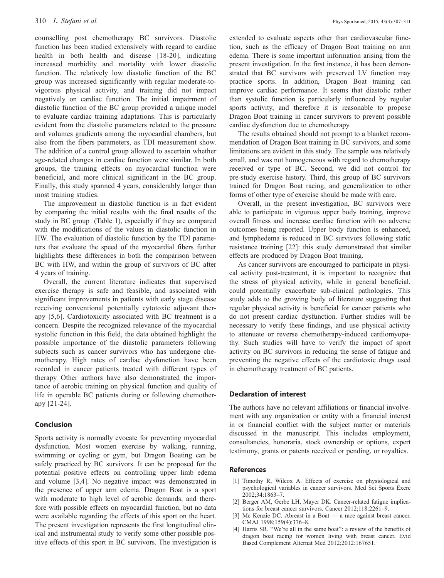<span id="page-4-0"></span>counselling post chemotherapy BC survivors. Diastolic function has been studied extensively with regard to cardiac health in both health and disease [[18-20](#page-5-0)], indicating increased morbidity and mortality with lower diastolic function. The relatively low diastolic function of the BC group was increased significantly with regular moderate-tovigorous physical activity, and training did not impact negatively on cardiac function. The initial impairment of diastolic function of the BC group provided a unique model to evaluate cardiac training adaptations. This is particularly evident from the diastolic parameters related to the pressure and volumes gradients among the myocardial chambers, but also from the fibers parameters, as TDI measurement show. The addition of a control group allowed to ascertain whether age-related changes in cardiac function were similar. In both groups, the training effects on myocardial function were beneficial, and more clinical significant in the BC group. Finally, this study spanned 4 years, considerably longer than most training studies.

The improvement in diastolic function is in fact evident by comparing the initial results with the final results of the study in BC group [\(Table 1](#page-3-0)), especially if they are compared with the modifications of the values in diastolic function in HW. The evaluation of diastolic function by the TDI parameters that evaluate the speed of the myocardial fibers further highlights these differences in both the comparison between BC with HW, and within the group of survivors of BC after 4 years of training.

Overall, the current literature indicates that supervised exercise therapy is safe and feasible, and associated with significant improvements in patients with early stage disease receiving conventional potentially cytotoxic adjuvant therapy [[5,6\]](#page-5-0). Cardiotoxicity associated with BC treatment is a concern. Despite the recognized relevance of the myocardial systolic function in this field, the data obtained highlight the possible importance of the diastolic parameters following subjects such as cancer survivors who has undergone chemotherapy. High rates of cardiac dysfunction have been recorded in cancer patients treated with different types of therapy Other authors have also demonstrated the importance of aerobic training on physical function and quality of life in operable BC patients during or following chemotherapy [[21-24\]](#page-5-0).

#### Conclusion

Sports activity is normally evocate for preventing myocardial dysfunction. Most women exercise by walking, running, swimming or cycling or gym, but Dragon Boating can be safely practiced by BC survivors. It can be proposed for the potential positive effects on controlling upper limb edema and volume [3,4]. No negative impact was demonstrated in the presence of upper arm edema. Dragon Boat is a sport with moderate to high level of aerobic demands, and therefore with possible effects on myocardial function, but no data were available regarding the effects of this sport on the heart. The present investigation represents the first longitudinal clinical and instrumental study to verify some other possible positive effects of this sport in BC survivors. The investigation is

extended to evaluate aspects other than cardiovascular function, such as the efficacy of Dragon Boat training on arm edema. There is some important information arising from the present investigation. In the first instance, it has been demonstrated that BC survivors with preserved LV function may practice sports. In addition, Dragon Boat training can improve cardiac performance. It seems that diastolic rather than systolic function is particularly influenced by regular sports activity, and therefore it is reasonable to propose Dragon Boat training in cancer survivors to prevent possible cardiac dysfunction due to chemotherapy.

The results obtained should not prompt to a blanket recommendation of Dragon Boat training in BC survivors, and some limitations are evident in this study. The sample was relatively small, and was not homogeneous with regard to chemotherapy received or type of BC. Second, we did not control for pre-study exercise history. Third, this group of BC survivors trained for Dragon Boat racing, and generalization to other forms of other type of exercise should be made with care.

Overall, in the present investigation, BC survivors were able to participate in vigorous upper body training, improve overall fitness and increase cardiac function with no adverse outcomes being reported. Upper body function is enhanced, and lymphedema is reduced in BC survivors following static resistance training [[22\]](#page-5-0): this study demonstrated that similar effects are produced by Dragon Boat training.

As cancer survivors are encouraged to participate in physical activity post-treatment, it is important to recognize that the stress of physical activity, while in general beneficial, could potentially exacerbate sub-clinical pathologies. This study adds to the growing body of literature suggesting that regular physical activity is beneficial for cancer patients who do not present cardiac dysfunction. Further studies will be necessary to verify these findings, and use physical activity to attenuate or reverse chemotherapy-induced cardiomyopathy. Such studies will have to verify the impact of sport activity on BC survivors in reducing the sense of fatigue and preventing the negative effects of the cardiotoxic drugs used in chemotherapy treatment of BC patients.

## Declaration of interest

The authors have no relevant affiliations or financial involvement with any organization or entity with a financial interest in or financial conflict with the subject matter or materials discussed in the manuscript. This includes employment, consultancies, honoraria, stock ownership or options, expert testimony, grants or patents received or pending, or royalties.

#### References

- [1] Timothy R, Wilcox A. Effects of exercise on physiological and psychological variables in cancer survivors. Med Sci Sports Exerc 2002;34:1863–7.
- [2] Berger AM, Gerbe LH, Mayer DK. [Cancer-related fatigue implica](http://www.ncbi.nlm.nih.gov/pubmed/22488700?dopt=Abstract)[tions for breast cancer survivors.](http://www.ncbi.nlm.nih.gov/pubmed/22488700?dopt=Abstract) Cancer 2012;118:2261–9.
- [3] Mc Kenzie DC. Abreast in a Boat a race against breast cancer. CMAJ 1998;159(4):376–8.
- [4] Harris SR. "We're all in the same boat": a review of the benefits of dragon boat racing for women living with breast cancer. Evid Based Complement Alternat Med 2012;2012:167651.